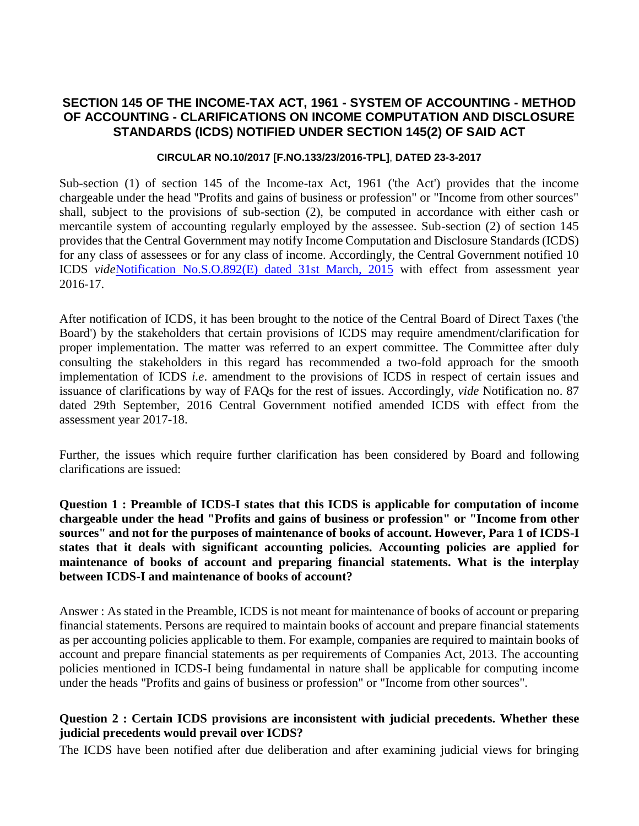# **SECTION 145 OF THE INCOME-TAX ACT, 1961 - SYSTEM OF ACCOUNTING - METHOD OF ACCOUNTING - CLARIFICATIONS ON INCOME COMPUTATION AND DISCLOSURE STANDARDS (ICDS) NOTIFIED UNDER SECTION 145(2) OF SAID ACT**

#### **CIRCULAR NO.10/2017 [F.NO.133/23/2016-TPL]**, **DATED 23-3-2017**

Sub-section (1) of section 145 of the Income-tax Act, 1961 ('the Act') provides that the income chargeable under the head "Profits and gains of business or profession" or "Income from other sources" shall, subject to the provisions of sub-section (2), be computed in accordance with either cash or mercantile system of accounting regularly employed by the assessee. Sub-section (2) of section 145 provides that the Central Government may notify Income Computation and Disclosure Standards (ICDS) for any class of assessees or for any class of income. Accordingly, the Central Government notified 10 ICDS *vide*[Notification No.S.O.892\(E\) dated 31st March, 2015](fileopen.aspx?id=104010000000044361&source=link) with effect from assessment year 2016-17.

After notification of ICDS, it has been brought to the notice of the Central Board of Direct Taxes ('the Board') by the stakeholders that certain provisions of ICDS may require amendment/clarification for proper implementation. The matter was referred to an expert committee. The Committee after duly consulting the stakeholders in this regard has recommended a two-fold approach for the smooth implementation of ICDS *i.e*. amendment to the provisions of ICDS in respect of certain issues and issuance of clarifications by way of FAQs for the rest of issues. Accordingly, *vide* Notification no. 87 dated 29th September, 2016 Central Government notified amended ICDS with effect from the assessment year 2017-18.

Further, the issues which require further clarification has been considered by Board and following clarifications are issued:

**Question 1 : Preamble of ICDS-I states that this ICDS is applicable for computation of income chargeable under the head "Profits and gains of business or profession" or "Income from other sources" and not for the purposes of maintenance of books of account. However, Para 1 of ICDS-I states that it deals with significant accounting policies. Accounting policies are applied for maintenance of books of account and preparing financial statements. What is the interplay between ICDS-I and maintenance of books of account?**

Answer : As stated in the Preamble, ICDS is not meant for maintenance of books of account or preparing financial statements. Persons are required to maintain books of account and prepare financial statements as per accounting policies applicable to them. For example, companies are required to maintain books of account and prepare financial statements as per requirements of Companies Act, 2013. The accounting policies mentioned in ICDS-I being fundamental in nature shall be applicable for computing income under the heads "Profits and gains of business or profession" or "Income from other sources".

#### **Question 2 : Certain ICDS provisions are inconsistent with judicial precedents. Whether these judicial precedents would prevail over ICDS?**

The ICDS have been notified after due deliberation and after examining judicial views for bringing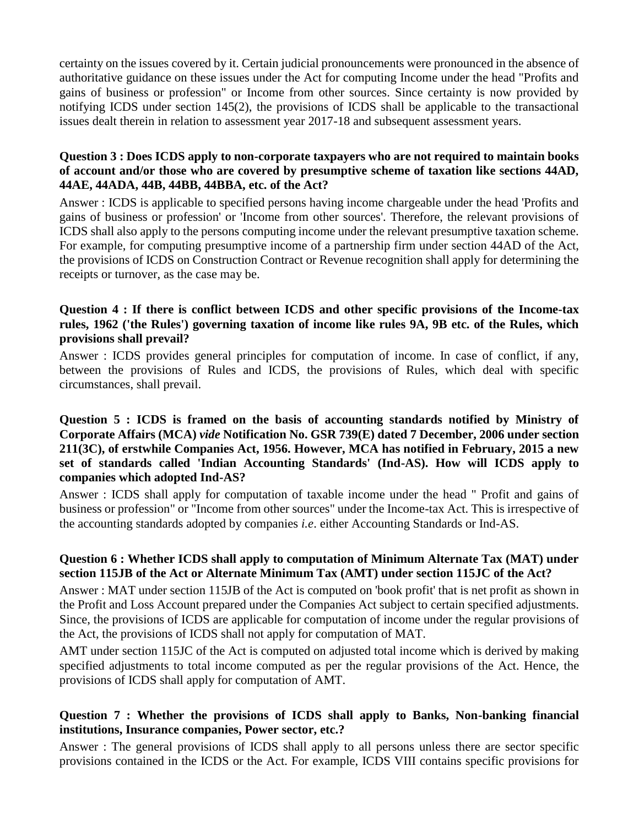certainty on the issues covered by it. Certain judicial pronouncements were pronounced in the absence of authoritative guidance on these issues under the Act for computing Income under the head "Profits and gains of business or profession" or Income from other sources. Since certainty is now provided by notifying ICDS under section 145(2), the provisions of ICDS shall be applicable to the transactional issues dealt therein in relation to assessment year 2017-18 and subsequent assessment years.

### **Question 3 : Does ICDS apply to non-corporate taxpayers who are not required to maintain books of account and/or those who are covered by presumptive scheme of taxation like sections 44AD, 44AE, 44ADA, 44B, 44BB, 44BBA, etc. of the Act?**

Answer : ICDS is applicable to specified persons having income chargeable under the head 'Profits and gains of business or profession' or 'Income from other sources'. Therefore, the relevant provisions of ICDS shall also apply to the persons computing income under the relevant presumptive taxation scheme. For example, for computing presumptive income of a partnership firm under section 44AD of the Act, the provisions of ICDS on Construction Contract or Revenue recognition shall apply for determining the receipts or turnover, as the case may be.

# **Question 4 : If there is conflict between ICDS and other specific provisions of the Income-tax rules, 1962 ('the Rules') governing taxation of income like rules 9A, 9B etc. of the Rules, which provisions shall prevail?**

Answer : ICDS provides general principles for computation of income. In case of conflict, if any, between the provisions of Rules and ICDS, the provisions of Rules, which deal with specific circumstances, shall prevail.

### **Question 5 : ICDS is framed on the basis of accounting standards notified by Ministry of Corporate Affairs (MCA)** *vide* **Notification No. GSR 739(E) dated 7 December, 2006 under section 211(3C), of erstwhile Companies Act, 1956. However, MCA has notified in February, 2015 a new set of standards called 'Indian Accounting Standards' (Ind-AS). How will ICDS apply to companies which adopted Ind-AS?**

Answer : ICDS shall apply for computation of taxable income under the head " Profit and gains of business or profession" or "Income from other sources" under the Income-tax Act. This is irrespective of the accounting standards adopted by companies *i.e*. either Accounting Standards or Ind-AS.

#### **Question 6 : Whether ICDS shall apply to computation of Minimum Alternate Tax (MAT) under section 115JB of the Act or Alternate Minimum Tax (AMT) under section 115JC of the Act?**

Answer : MAT under section 115JB of the Act is computed on 'book profit' that is net profit as shown in the Profit and Loss Account prepared under the Companies Act subject to certain specified adjustments. Since, the provisions of ICDS are applicable for computation of income under the regular provisions of the Act, the provisions of ICDS shall not apply for computation of MAT.

AMT under section 115JC of the Act is computed on adjusted total income which is derived by making specified adjustments to total income computed as per the regular provisions of the Act. Hence, the provisions of ICDS shall apply for computation of AMT.

# **Question 7 : Whether the provisions of ICDS shall apply to Banks, Non-banking financial institutions, Insurance companies, Power sector, etc.?**

Answer : The general provisions of ICDS shall apply to all persons unless there are sector specific provisions contained in the ICDS or the Act. For example, ICDS VIII contains specific provisions for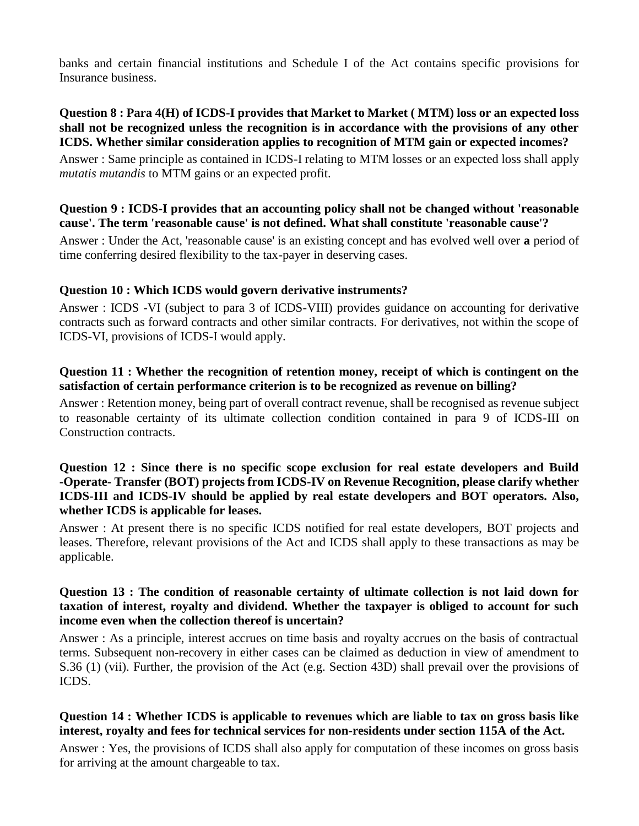banks and certain financial institutions and Schedule I of the Act contains specific provisions for Insurance business.

# **Question 8 : Para 4(H) of ICDS-I provides that Market to Market ( MTM) loss or an expected loss shall not be recognized unless the recognition is in accordance with the provisions of any other ICDS. Whether similar consideration applies to recognition of MTM gain or expected incomes?**

Answer : Same principle as contained in ICDS-I relating to MTM losses or an expected loss shall apply *mutatis mutandis* to MTM gains or an expected profit.

# **Question 9 : ICDS-I provides that an accounting policy shall not be changed without 'reasonable cause'. The term 'reasonable cause' is not defined. What shall constitute 'reasonable cause'?**

Answer : Under the Act, 'reasonable cause' is an existing concept and has evolved well over **a** period of time conferring desired flexibility to the tax-payer in deserving cases.

# **Question 10 : Which ICDS would govern derivative instruments?**

Answer : ICDS -VI (subject to para 3 of ICDS-VIII) provides guidance on accounting for derivative contracts such as forward contracts and other similar contracts. For derivatives, not within the scope of ICDS-VI, provisions of ICDS-I would apply.

# **Question 11 : Whether the recognition of retention money, receipt of which is contingent on the satisfaction of certain performance criterion is to be recognized as revenue on billing?**

Answer : Retention money, being part of overall contract revenue, shall be recognised as revenue subject to reasonable certainty of its ultimate collection condition contained in para 9 of ICDS-III on Construction contracts.

# **Question 12 : Since there is no specific scope exclusion for real estate developers and Build -Operate- Transfer (BOT) projects from ICDS-IV on Revenue Recognition, please clarify whether ICDS-III and ICDS-IV should be applied by real estate developers and BOT operators. Also, whether ICDS is applicable for leases.**

Answer : At present there is no specific ICDS notified for real estate developers, BOT projects and leases. Therefore, relevant provisions of the Act and ICDS shall apply to these transactions as may be applicable.

### **Question 13 : The condition of reasonable certainty of ultimate collection is not laid down for taxation of interest, royalty and dividend. Whether the taxpayer is obliged to account for such income even when the collection thereof is uncertain?**

Answer : As a principle, interest accrues on time basis and royalty accrues on the basis of contractual terms. Subsequent non-recovery in either cases can be claimed as deduction in view of amendment to S.36 (1) (vii). Further, the provision of the Act (e.g. Section 43D) shall prevail over the provisions of ICDS.

# **Question 14 : Whether ICDS is applicable to revenues which are liable to tax on gross basis like interest, royalty and fees for technical services for non-residents under section 115A of the Act.**

Answer : Yes, the provisions of ICDS shall also apply for computation of these incomes on gross basis for arriving at the amount chargeable to tax.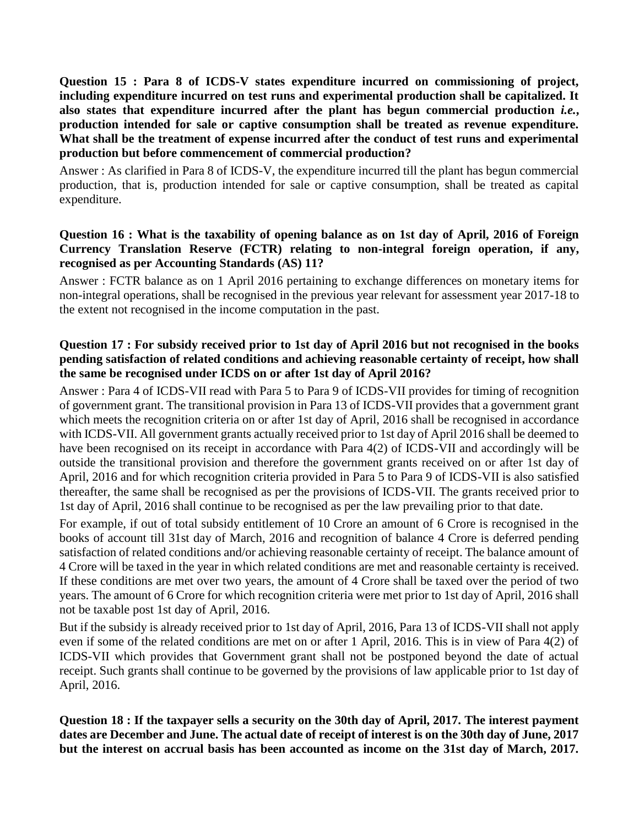**Question 15 : Para 8 of ICDS-V states expenditure incurred on commissioning of project, including expenditure incurred on test runs and experimental production shall be capitalized. It also states that expenditure incurred after the plant has begun commercial production** *i.e.***, production intended for sale or captive consumption shall be treated as revenue expenditure. What shall be the treatment of expense incurred after the conduct of test runs and experimental production but before commencement of commercial production?**

Answer : As clarified in Para 8 of ICDS-V, the expenditure incurred till the plant has begun commercial production, that is, production intended for sale or captive consumption, shall be treated as capital expenditure.

# **Question 16 : What is the taxability of opening balance as on 1st day of April, 2016 of Foreign Currency Translation Reserve (FCTR) relating to non-integral foreign operation, if any, recognised as per Accounting Standards (AS) 11?**

Answer : FCTR balance as on 1 April 2016 pertaining to exchange differences on monetary items for non-integral operations, shall be recognised in the previous year relevant for assessment year 2017-18 to the extent not recognised in the income computation in the past.

# **Question 17 : For subsidy received prior to 1st day of April 2016 but not recognised in the books pending satisfaction of related conditions and achieving reasonable certainty of receipt, how shall the same be recognised under ICDS on or after 1st day of April 2016?**

Answer : Para 4 of ICDS-VII read with Para 5 to Para 9 of ICDS-VII provides for timing of recognition of government grant. The transitional provision in Para 13 of ICDS-VII provides that a government grant which meets the recognition criteria on or after 1st day of April, 2016 shall be recognised in accordance with ICDS-VII. All government grants actually received prior to 1st day of April 2016 shall be deemed to have been recognised on its receipt in accordance with Para 4(2) of ICDS-VII and accordingly will be outside the transitional provision and therefore the government grants received on or after 1st day of April, 2016 and for which recognition criteria provided in Para 5 to Para 9 of ICDS-VII is also satisfied thereafter, the same shall be recognised as per the provisions of ICDS-VII. The grants received prior to 1st day of April, 2016 shall continue to be recognised as per the law prevailing prior to that date.

For example, if out of total subsidy entitlement of 10 Crore an amount of 6 Crore is recognised in the books of account till 31st day of March, 2016 and recognition of balance 4 Crore is deferred pending satisfaction of related conditions and/or achieving reasonable certainty of receipt. The balance amount of 4 Crore will be taxed in the year in which related conditions are met and reasonable certainty is received. If these conditions are met over two years, the amount of 4 Crore shall be taxed over the period of two years. The amount of 6 Crore for which recognition criteria were met prior to 1st day of April, 2016 shall not be taxable post 1st day of April, 2016.

But if the subsidy is already received prior to 1st day of April, 2016, Para 13 of ICDS-VII shall not apply even if some of the related conditions are met on or after 1 April, 2016. This is in view of Para 4(2) of ICDS-VII which provides that Government grant shall not be postponed beyond the date of actual receipt. Such grants shall continue to be governed by the provisions of law applicable prior to 1st day of April, 2016.

**Question 18 : If the taxpayer sells a security on the 30th day of April, 2017. The interest payment dates are December and June. The actual date of receipt of interest is on the 30th day of June, 2017 but the interest on accrual basis has been accounted as income on the 31st day of March, 2017.**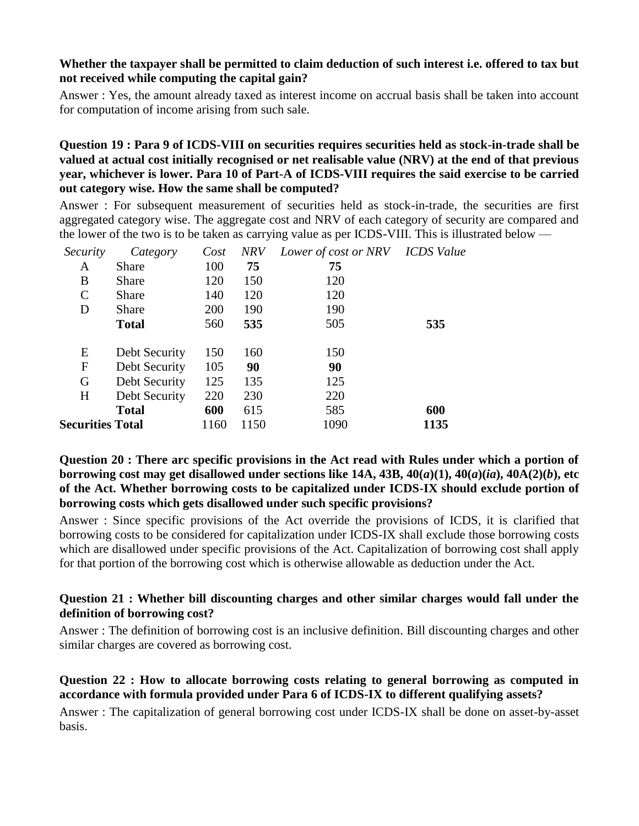#### **Whether the taxpayer shall be permitted to claim deduction of such interest i.e. offered to tax but not received while computing the capital gain?**

Answer : Yes, the amount already taxed as interest income on accrual basis shall be taken into account for computation of income arising from such sale.

### **Question 19 : Para 9 of ICDS-VIII on securities requires securities held as stock-in-trade shall be valued at actual cost initially recognised or net realisable value (NRV) at the end of that previous year, whichever is lower. Para 10 of Part-A of ICDS-VIII requires the said exercise to be carried out category wise. How the same shall be computed?**

Answer : For subsequent measurement of securities held as stock-in-trade, the securities are first aggregated category wise. The aggregate cost and NRV of each category of security are compared and the lower of the two is to be taken as carrying value as per ICDS-VIII. This is illustrated below —

| Security                | Category      | Cost | <b>NRV</b> | Lower of cost or NRV    ICDS Value |      |
|-------------------------|---------------|------|------------|------------------------------------|------|
| A                       | <b>Share</b>  | 100  | 75         | 75                                 |      |
| B                       | <b>Share</b>  | 120  | 150        | 120                                |      |
| $\mathsf{C}$            | <b>Share</b>  | 140  | 120        | 120                                |      |
| D                       | Share         | 200  | 190        | 190                                |      |
|                         | <b>Total</b>  | 560  | 535        | 505                                | 535  |
|                         |               |      |            |                                    |      |
| E                       | Debt Security | 150  | 160        | 150                                |      |
| F                       | Debt Security | 105  | 90         | 90                                 |      |
| G                       | Debt Security | 125  | 135        | 125                                |      |
| H                       | Debt Security | 220  | 230        | 220                                |      |
|                         | <b>Total</b>  | 600  | 615        | 585                                | 600  |
| <b>Securities Total</b> |               | 1160 | 1150       | 1090                               | 1135 |
|                         |               |      |            |                                    |      |

### **Question 20 : There arc specific provisions in the Act read with Rules under which a portion of borrowing cost may get disallowed under sections like 14A, 43B, 40(***a***)(1), 40(***a***)(***ia***), 40A(2)(***b***), etc of the Act. Whether borrowing costs to be capitalized under ICDS-IX should exclude portion of borrowing costs which gets disallowed under such specific provisions?**

Answer : Since specific provisions of the Act override the provisions of ICDS, it is clarified that borrowing costs to be considered for capitalization under ICDS-IX shall exclude those borrowing costs which are disallowed under specific provisions of the Act. Capitalization of borrowing cost shall apply for that portion of the borrowing cost which is otherwise allowable as deduction under the Act.

#### **Question 21 : Whether bill discounting charges and other similar charges would fall under the definition of borrowing cost?**

Answer : The definition of borrowing cost is an inclusive definition. Bill discounting charges and other similar charges are covered as borrowing cost.

# **Question 22 : How to allocate borrowing costs relating to general borrowing as computed in accordance with formula provided under Para 6 of ICDS-IX to different qualifying assets?**

Answer : The capitalization of general borrowing cost under ICDS-IX shall be done on asset-by-asset basis.